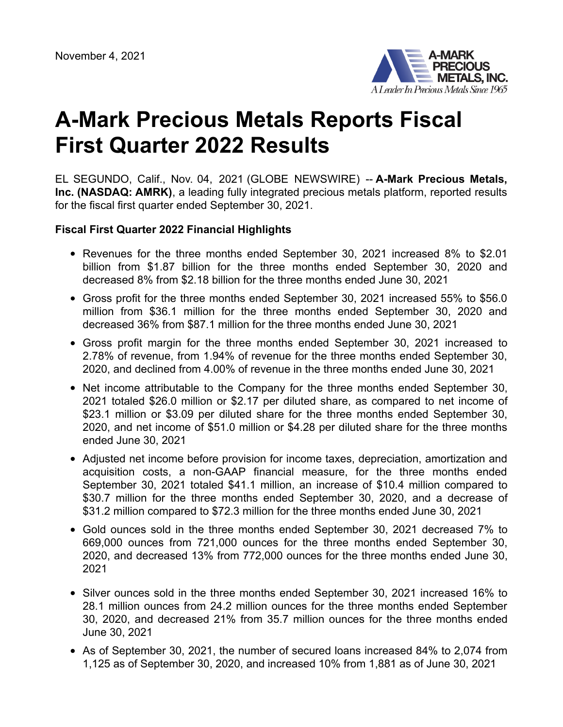

# **A-Mark Precious Metals Reports Fiscal First Quarter 2022 Results**

EL SEGUNDO, Calif., Nov. 04, 2021 (GLOBE NEWSWIRE) -- **A-Mark Precious Metals, Inc. (NASDAQ: AMRK)**, a leading fully integrated precious metals platform, reported results for the fiscal first quarter ended September 30, 2021.

## **Fiscal First Quarter 2022 Financial Highlights**

- Revenues for the three months ended September 30, 2021 increased 8% to \$2.01 billion from \$1.87 billion for the three months ended September 30, 2020 and decreased 8% from \$2.18 billion for the three months ended June 30, 2021
- Gross profit for the three months ended September 30, 2021 increased 55% to \$56.0 million from \$36.1 million for the three months ended September 30, 2020 and decreased 36% from \$87.1 million for the three months ended June 30, 2021
- Gross profit margin for the three months ended September 30, 2021 increased to 2.78% of revenue, from 1.94% of revenue for the three months ended September 30, 2020, and declined from 4.00% of revenue in the three months ended June 30, 2021
- Net income attributable to the Company for the three months ended September 30, 2021 totaled \$26.0 million or \$2.17 per diluted share, as compared to net income of \$23.1 million or \$3.09 per diluted share for the three months ended September 30, 2020, and net income of \$51.0 million or \$4.28 per diluted share for the three months ended June 30, 2021
- Adjusted net income before provision for income taxes, depreciation, amortization and acquisition costs, a non-GAAP financial measure, for the three months ended September 30, 2021 totaled \$41.1 million, an increase of \$10.4 million compared to \$30.7 million for the three months ended September 30, 2020, and a decrease of \$31.2 million compared to \$72.3 million for the three months ended June 30, 2021
- Gold ounces sold in the three months ended September 30, 2021 decreased 7% to 669,000 ounces from 721,000 ounces for the three months ended September 30, 2020, and decreased 13% from 772,000 ounces for the three months ended June 30, 2021
- Silver ounces sold in the three months ended September 30, 2021 increased 16% to 28.1 million ounces from 24.2 million ounces for the three months ended September 30, 2020, and decreased 21% from 35.7 million ounces for the three months ended June 30, 2021
- As of September 30, 2021, the number of secured loans increased 84% to 2,074 from 1,125 as of September 30, 2020, and increased 10% from 1,881 as of June 30, 2021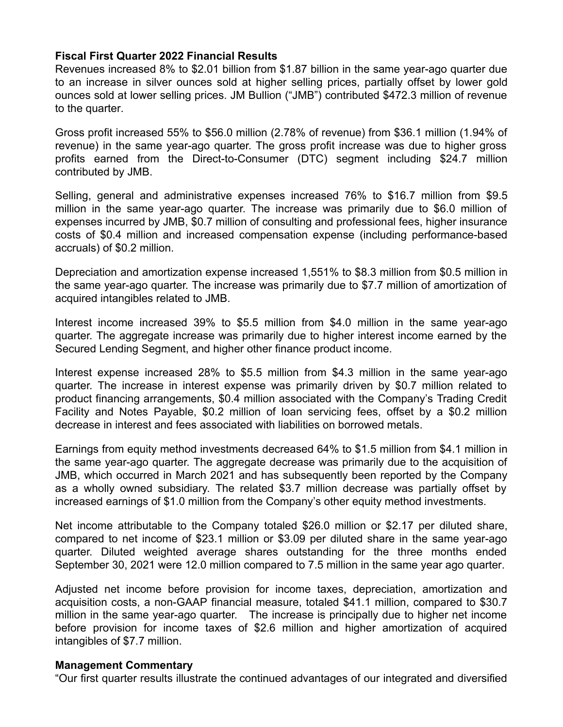## **Fiscal First Quarter 2022 Financial Results**

Revenues increased 8% to \$2.01 billion from \$1.87 billion in the same year-ago quarter due to an increase in silver ounces sold at higher selling prices, partially offset by lower gold ounces sold at lower selling prices. JM Bullion ("JMB") contributed \$472.3 million of revenue to the quarter.

Gross profit increased 55% to \$56.0 million (2.78% of revenue) from \$36.1 million (1.94% of revenue) in the same year-ago quarter. The gross profit increase was due to higher gross profits earned from the Direct-to-Consumer (DTC) segment including \$24.7 million contributed by JMB.

Selling, general and administrative expenses increased 76% to \$16.7 million from \$9.5 million in the same year-ago quarter. The increase was primarily due to \$6.0 million of expenses incurred by JMB, \$0.7 million of consulting and professional fees, higher insurance costs of \$0.4 million and increased compensation expense (including performance-based accruals) of \$0.2 million.

Depreciation and amortization expense increased 1,551% to \$8.3 million from \$0.5 million in the same year-ago quarter. The increase was primarily due to \$7.7 million of amortization of acquired intangibles related to JMB.

Interest income increased 39% to \$5.5 million from \$4.0 million in the same year-ago quarter. The aggregate increase was primarily due to higher interest income earned by the Secured Lending Segment, and higher other finance product income.

Interest expense increased 28% to \$5.5 million from \$4.3 million in the same year-ago quarter. The increase in interest expense was primarily driven by \$0.7 million related to product financing arrangements, \$0.4 million associated with the Company's Trading Credit Facility and Notes Payable, \$0.2 million of loan servicing fees, offset by a \$0.2 million decrease in interest and fees associated with liabilities on borrowed metals.

Earnings from equity method investments decreased 64% to \$1.5 million from \$4.1 million in the same year-ago quarter. The aggregate decrease was primarily due to the acquisition of JMB, which occurred in March 2021 and has subsequently been reported by the Company as a wholly owned subsidiary. The related \$3.7 million decrease was partially offset by increased earnings of \$1.0 million from the Company's other equity method investments.

Net income attributable to the Company totaled \$26.0 million or \$2.17 per diluted share, compared to net income of \$23.1 million or \$3.09 per diluted share in the same year-ago quarter. Diluted weighted average shares outstanding for the three months ended September 30, 2021 were 12.0 million compared to 7.5 million in the same year ago quarter.

Adjusted net income before provision for income taxes, depreciation, amortization and acquisition costs, a non-GAAP financial measure, totaled \$41.1 million, compared to \$30.7 million in the same year-ago quarter. The increase is principally due to higher net income before provision for income taxes of \$2.6 million and higher amortization of acquired intangibles of \$7.7 million.

#### **Management Commentary**

"Our first quarter results illustrate the continued advantages of our integrated and diversified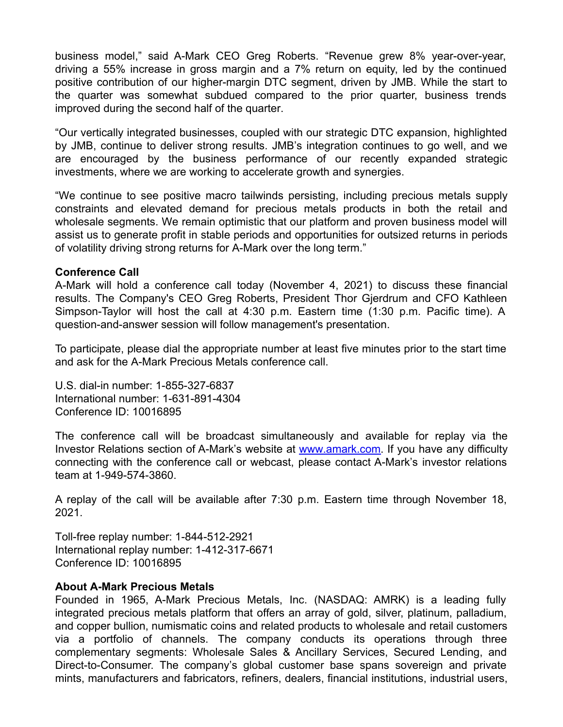business model," said A-Mark CEO Greg Roberts. "Revenue grew 8% year-over-year, driving a 55% increase in gross margin and a 7% return on equity, led by the continued positive contribution of our higher-margin DTC segment, driven by JMB. While the start to the quarter was somewhat subdued compared to the prior quarter, business trends improved during the second half of the quarter.

"Our vertically integrated businesses, coupled with our strategic DTC expansion, highlighted by JMB, continue to deliver strong results. JMB's integration continues to go well, and we are encouraged by the business performance of our recently expanded strategic investments, where we are working to accelerate growth and synergies.

"We continue to see positive macro tailwinds persisting, including precious metals supply constraints and elevated demand for precious metals products in both the retail and wholesale segments. We remain optimistic that our platform and proven business model will assist us to generate profit in stable periods and opportunities for outsized returns in periods of volatility driving strong returns for A-Mark over the long term."

#### **Conference Call**

A-Mark will hold a conference call today (November 4, 2021) to discuss these financial results. The Company's CEO Greg Roberts, President Thor Gjerdrum and CFO Kathleen Simpson-Taylor will host the call at 4:30 p.m. Eastern time (1:30 p.m. Pacific time). A question-and-answer session will follow management's presentation.

To participate, please dial the appropriate number at least five minutes prior to the start time and ask for the A-Mark Precious Metals conference call.

U.S. dial-in number: 1-855-327-6837 International number: 1-631-891-4304 Conference ID: 10016895

The conference call will be broadcast simultaneously and available for replay via the Investor Relations section of A-Mark's website at [www.amark.com](https://www.globenewswire.com/Tracker?data=-xxTp1kGOeCCj9lcOh4sulbGtj8q8FB9yHeWXYyt4HhAxDtXf9iTq2w7f2mYCv-_GlKlFfCVOsLvtvu4pXzbIw==). If you have any difficulty connecting with the conference call or webcast, please contact A-Mark's investor relations team at 1-949-574-3860.

A replay of the call will be available after 7:30 p.m. Eastern time through November 18, 2021.

Toll-free replay number: 1-844-512-2921 International replay number: 1-412-317-6671 Conference ID: 10016895

#### **About A-Mark Precious Metals**

Founded in 1965, A-Mark Precious Metals, Inc. (NASDAQ: AMRK) is a leading fully integrated precious metals platform that offers an array of gold, silver, platinum, palladium, and copper bullion, numismatic coins and related products to wholesale and retail customers via a portfolio of channels. The company conducts its operations through three complementary segments: Wholesale Sales & Ancillary Services, Secured Lending, and Direct-to-Consumer. The company's global customer base spans sovereign and private mints, manufacturers and fabricators, refiners, dealers, financial institutions, industrial users,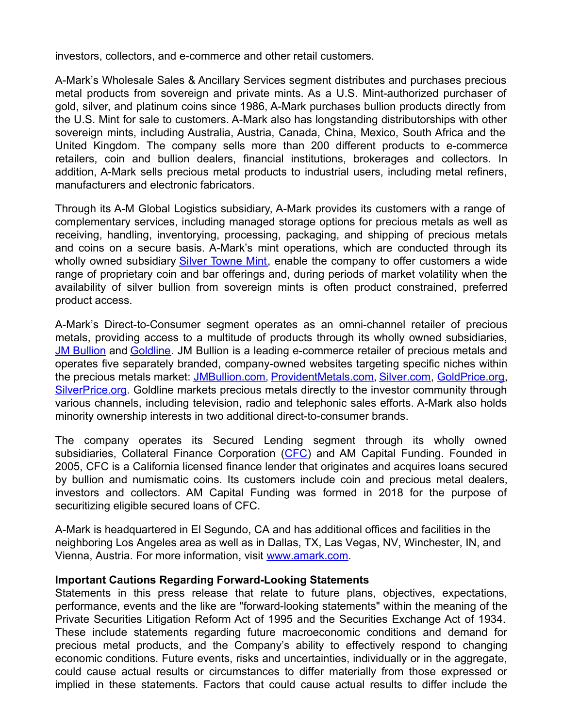investors, collectors, and e-commerce and other retail customers.

A-Mark's Wholesale Sales & Ancillary Services segment distributes and purchases precious metal products from sovereign and private mints. As a U.S. Mint-authorized purchaser of gold, silver, and platinum coins since 1986, A-Mark purchases bullion products directly from the U.S. Mint for sale to customers. A-Mark also has longstanding distributorships with other sovereign mints, including Australia, Austria, Canada, China, Mexico, South Africa and the United Kingdom. The company sells more than 200 different products to e-commerce retailers, coin and bullion dealers, financial institutions, brokerages and collectors. In addition, A-Mark sells precious metal products to industrial users, including metal refiners, manufacturers and electronic fabricators.

Through its A-M Global Logistics subsidiary, A-Mark provides its customers with a range of complementary services, including managed storage options for precious metals as well as receiving, handling, inventorying, processing, packaging, and shipping of precious metals and coins on a secure basis. A-Mark's mint operations, which are conducted through its wholly owned subsidiary Silver [Towne](https://www.globenewswire.com/Tracker?data=nvDhLhJjJkSP-2DopxrBW4WRF-nQ_E5wdhlW7z9eNrqsfVKBcPx6Zv48oTlOomUAsNB4DSlCnMuTuoYmOY1XU6f1CviWKo149jH2FjZ-1pg=) Mint, enable the company to offer customers a wide range of proprietary coin and bar offerings and, during periods of market volatility when the availability of silver bullion from sovereign mints is often product constrained, preferred product access.

A-Mark's Direct-to-Consumer segment operates as an omni-channel retailer of precious metals, providing access to a multitude of products through its wholly owned subsidiaries, JM [Bullion](https://www.globenewswire.com/Tracker?data=03mtBBFoDoLHrkUPCNP4omS8rUyv_VKpAO90l1OO8ENdgBo_hxv4ndaJyYVgvWe8xdSBB3ikSpSjZHypZ-8PxQ==) and [Goldline](https://www.globenewswire.com/Tracker?data=efegjEdtP9kJNksOhsOwnB9H383GWHLpJCsk0iOrY5mBp8DKaoeDQb86a45MJZMGlKywl8Eo0QSsXYycc8fEGQ==). JM Bullion is a leading e-commerce retailer of precious metals and operates five separately branded, company-owned websites targeting specific niches within the precious metals market: [JMBullion.com,](https://www.globenewswire.com/Tracker?data=A9fXKmWqmtx6e6i4pGHgBavOWAM_iqHK5JhQGtY5rV6Dhyi9stO9E1eIutanO5_1d7rk5dz_4w4adZqMGxTLpg==) [ProvidentMetals.com](https://www.globenewswire.com/Tracker?data=SUqxZuApmSPALM7iVFErY959BbodY_fUEScFQt_6G_LtgjN18_Vwkw6vdcZonnD-vV6MFe_Wm3zdSn061ppi5NdKUG2M4nY4gIBSKCj2AGc=), [Silver.com,](https://www.globenewswire.com/Tracker?data=nvDhLhJjJkSP-2DopxrBW0fVugcRSPIKWbBtGSKsqrwXBr9wI8ytM7J4HvkFuFzTpUO3DjCeClAlqZ3aKOpoTw==) [GoldPrice.org](https://www.globenewswire.com/Tracker?data=hjiCuBzgSf1SuzRnSEriN5pwVBTToxslOyVuUBE-aoTl9L-_VrCtNZScNgkmyPavkTvEagQY_0ubEryME5YyRw==), [SilverPrice.org](https://www.globenewswire.com/Tracker?data=nvDhLhJjJkSP-2DopxrBWwBTxQPTkPdJImmusucBCMIvSisxkBt4mpBN4OVI1ZNmYxcpDd0rjlAVDEhLZHeSPQ==). Goldline markets precious metals directly to the investor community through various channels, including television, radio and telephonic sales efforts. A-Mark also holds minority ownership interests in two additional direct-to-consumer brands.

The company operates its Secured Lending segment through its wholly owned subsidiaries, Collateral Finance Corporation ([CFC](https://www.globenewswire.com/Tracker?data=5yqsyRHwmFOGCjU83mmlwRR6Ule9IIPsYjVX5Ju364aYGWiWec0b5DvnGOvuNSQxlrWHHmPywR_UgGqxhUFweA==)) and AM Capital Funding. Founded in 2005, CFC is a California licensed finance lender that originates and acquires loans secured by bullion and numismatic coins. Its customers include coin and precious metal dealers, investors and collectors. AM Capital Funding was formed in 2018 for the purpose of securitizing eligible secured loans of CFC.

A-Mark is headquartered in El Segundo, CA and has additional offices and facilities in the neighboring Los Angeles area as well as in Dallas, TX, Las Vegas, NV, Winchester, IN, and Vienna, Austria. For more information, visit [www.amark.com.](https://www.globenewswire.com/Tracker?data=-xxTp1kGOeCCj9lcOh4suuJJCrtgMd7Br4SktFnVDewbGNFd0qO1tcjlWXLKY4ek98QvsUzbpAZdieGFy3nZ9w==)

## **Important Cautions Regarding Forward-Looking Statements**

Statements in this press release that relate to future plans, objectives, expectations, performance, events and the like are "forward-looking statements" within the meaning of the Private Securities Litigation Reform Act of 1995 and the Securities Exchange Act of 1934. These include statements regarding future macroeconomic conditions and demand for precious metal products, and the Company's ability to effectively respond to changing economic conditions. Future events, risks and uncertainties, individually or in the aggregate, could cause actual results or circumstances to differ materially from those expressed or implied in these statements. Factors that could cause actual results to differ include the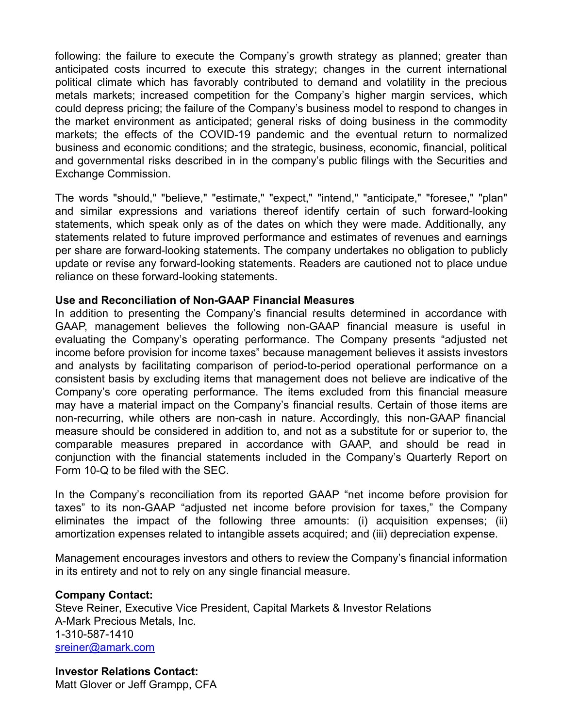following: the failure to execute the Company's growth strategy as planned; greater than anticipated costs incurred to execute this strategy; changes in the current international political climate which has favorably contributed to demand and volatility in the precious metals markets; increased competition for the Company's higher margin services, which could depress pricing; the failure of the Company's business model to respond to changes in the market environment as anticipated; general risks of doing business in the commodity markets; the effects of the COVID-19 pandemic and the eventual return to normalized business and economic conditions; and the strategic, business, economic, financial, political and governmental risks described in in the company's public filings with the Securities and Exchange Commission.

The words "should," "believe," "estimate," "expect," "intend," "anticipate," "foresee," "plan" and similar expressions and variations thereof identify certain of such forward-looking statements, which speak only as of the dates on which they were made. Additionally, any statements related to future improved performance and estimates of revenues and earnings per share are forward-looking statements. The company undertakes no obligation to publicly update or revise any forward-looking statements. Readers are cautioned not to place undue reliance on these forward-looking statements.

## **Use and Reconciliation of Non-GAAP Financial Measures**

In addition to presenting the Company's financial results determined in accordance with GAAP, management believes the following non-GAAP financial measure is useful in evaluating the Company's operating performance. The Company presents "adjusted net income before provision for income taxes" because management believes it assists investors and analysts by facilitating comparison of period-to-period operational performance on a consistent basis by excluding items that management does not believe are indicative of the Company's core operating performance. The items excluded from this financial measure may have a material impact on the Company's financial results. Certain of those items are non-recurring, while others are non-cash in nature. Accordingly, this non-GAAP financial measure should be considered in addition to, and not as a substitute for or superior to, the comparable measures prepared in accordance with GAAP, and should be read in conjunction with the financial statements included in the Company's Quarterly Report on Form 10-Q to be filed with the SEC.

In the Company's reconciliation from its reported GAAP "net income before provision for taxes" to its non-GAAP "adjusted net income before provision for taxes," the Company eliminates the impact of the following three amounts: (i) acquisition expenses; (ii) amortization expenses related to intangible assets acquired; and (iii) depreciation expense.

Management encourages investors and others to review the Company's financial information in its entirety and not to rely on any single financial measure.

## **Company Contact:**

Steve Reiner, Executive Vice President, Capital Markets & Investor Relations A-Mark Precious Metals, Inc. 1-310-587-1410 [sreiner@amark.com](https://www.globenewswire.com/Tracker?data=wCP8qV0zdc5ymXB-hmdlMEPWJg_xjmcpjdxmXbTERBxypaU3A5v9a72YP-x8kkn1uh7Ropjl66g_gg88ErFqmdoo3aENcXv3zXXVO2olY50=)

**Investor Relations Contact:** Matt Glover or Jeff Grampp, CFA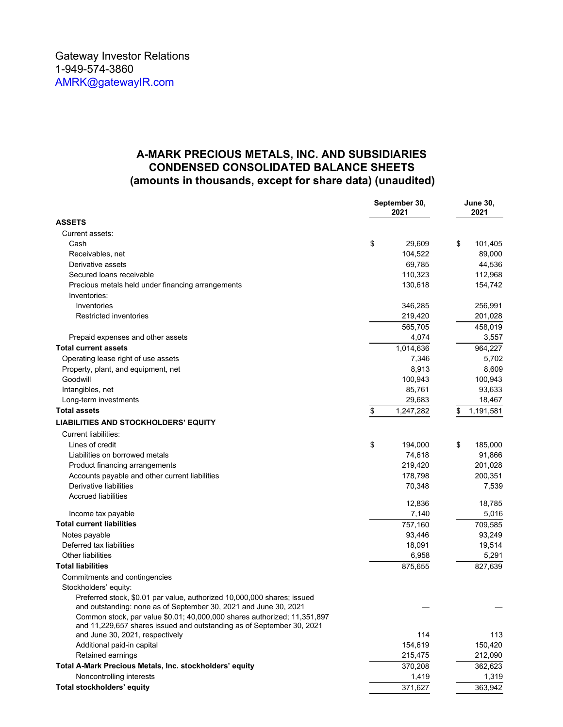# **A-MARK PRECIOUS METALS, INC. AND SUBSIDIARIES CONDENSED CONSOLIDATED BALANCE SHEETS (amounts in thousands, except for share data) (unaudited)**

| 2021                                                                                                                                              |    | September 30, | <b>June 30,</b><br>2021 |           |
|---------------------------------------------------------------------------------------------------------------------------------------------------|----|---------------|-------------------------|-----------|
| <b>ASSETS</b>                                                                                                                                     |    |               |                         |           |
| Current assets:                                                                                                                                   |    |               |                         |           |
| Cash                                                                                                                                              | \$ | 29,609        | \$                      | 101,405   |
| Receivables, net                                                                                                                                  |    | 104,522       |                         | 89,000    |
| Derivative assets                                                                                                                                 |    | 69,785        |                         | 44,536    |
| Secured loans receivable                                                                                                                          |    | 110,323       |                         | 112,968   |
| Precious metals held under financing arrangements                                                                                                 |    | 130,618       |                         | 154,742   |
| Inventories:                                                                                                                                      |    |               |                         |           |
| Inventories                                                                                                                                       |    | 346,285       |                         | 256,991   |
| Restricted inventories                                                                                                                            |    | 219,420       |                         | 201,028   |
|                                                                                                                                                   |    | 565.705       |                         | 458,019   |
| Prepaid expenses and other assets                                                                                                                 |    | 4,074         |                         | 3,557     |
| <b>Total current assets</b>                                                                                                                       |    | 1,014,636     |                         | 964,227   |
| Operating lease right of use assets                                                                                                               |    | 7,346         |                         | 5,702     |
| Property, plant, and equipment, net                                                                                                               |    | 8,913         |                         | 8,609     |
| Goodwill                                                                                                                                          |    | 100,943       |                         | 100,943   |
| Intangibles, net                                                                                                                                  |    | 85,761        |                         | 93,633    |
| Long-term investments                                                                                                                             |    | 29,683        |                         | 18,467    |
| <b>Total assets</b>                                                                                                                               | \$ | 1,247,282     | \$                      | 1,191,581 |
| <b>LIABILITIES AND STOCKHOLDERS' EQUITY</b>                                                                                                       |    |               |                         |           |
| <b>Current liabilities:</b>                                                                                                                       |    |               |                         |           |
| Lines of credit                                                                                                                                   | \$ | 194,000       | \$                      | 185,000   |
| Liabilities on borrowed metals                                                                                                                    |    | 74,618        |                         | 91,866    |
| Product financing arrangements                                                                                                                    |    | 219,420       |                         | 201,028   |
| Accounts payable and other current liabilities                                                                                                    |    | 178,798       |                         | 200,351   |
| Derivative liabilities                                                                                                                            |    | 70,348        |                         | 7,539     |
| <b>Accrued liabilities</b>                                                                                                                        |    | 12,836        |                         | 18,785    |
| Income tax payable                                                                                                                                |    | 7,140         |                         | 5,016     |
| <b>Total current liabilities</b>                                                                                                                  |    | 757,160       |                         | 709,585   |
| Notes payable                                                                                                                                     |    | 93,446        |                         | 93,249    |
| Deferred tax liabilities                                                                                                                          |    | 18,091        |                         | 19,514    |
| <b>Other liabilities</b>                                                                                                                          |    | 6,958         |                         | 5,291     |
| <b>Total liabilities</b>                                                                                                                          |    | 875,655       |                         | 827,639   |
| Commitments and contingencies                                                                                                                     |    |               |                         |           |
| Stockholders' equity:                                                                                                                             |    |               |                         |           |
| Preferred stock, \$0.01 par value, authorized 10,000,000 shares; issued                                                                           |    |               |                         |           |
| and outstanding: none as of September 30, 2021 and June 30, 2021                                                                                  |    |               |                         |           |
| Common stock, par value \$0.01; 40,000,000 shares authorized; 11,351,897<br>and 11,229,657 shares issued and outstanding as of September 30, 2021 |    |               |                         |           |
| and June 30, 2021, respectively                                                                                                                   |    | 114           |                         | 113       |
| Additional paid-in capital                                                                                                                        |    | 154,619       |                         | 150,420   |
| Retained earnings                                                                                                                                 |    | 215,475       |                         | 212,090   |
| Total A-Mark Precious Metals, Inc. stockholders' equity                                                                                           |    | 370,208       |                         | 362,623   |
| Noncontrolling interests                                                                                                                          |    | 1,419         |                         | 1,319     |
| <b>Total stockholders' equity</b>                                                                                                                 |    | 371,627       |                         | 363,942   |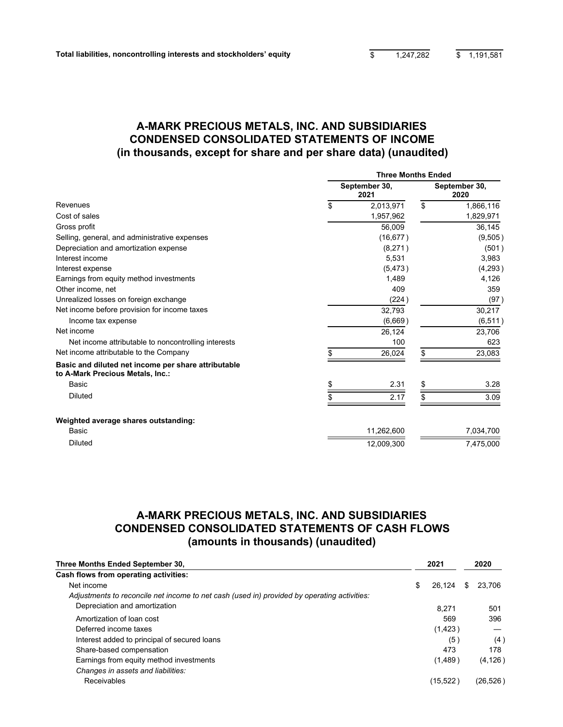# **A-MARK PRECIOUS METALS, INC. AND SUBSIDIARIES CONDENSED CONSOLIDATED STATEMENTS OF INCOME (in thousands, except for share and per share data) (unaudited)**

|                                                                                         | <b>Three Months Ended</b> |            |                       |           |  |  |
|-----------------------------------------------------------------------------------------|---------------------------|------------|-----------------------|-----------|--|--|
|                                                                                         | September 30,             |            | September 30,<br>2020 |           |  |  |
| Revenues                                                                                | \$                        | 2,013,971  | \$                    | 1,866,116 |  |  |
| Cost of sales                                                                           |                           | 1,957,962  |                       | 1,829,971 |  |  |
| Gross profit                                                                            |                           | 56,009     |                       | 36,145    |  |  |
| Selling, general, and administrative expenses                                           |                           | (16, 677)  |                       | (9,505)   |  |  |
| Depreciation and amortization expense                                                   |                           | (8,271)    |                       | (501)     |  |  |
| Interest income                                                                         |                           | 5,531      |                       | 3,983     |  |  |
| Interest expense                                                                        |                           | (5, 473)   |                       | (4, 293)  |  |  |
| Earnings from equity method investments                                                 |                           | 1,489      |                       | 4,126     |  |  |
| Other income, net                                                                       |                           | 409        |                       | 359       |  |  |
| Unrealized losses on foreign exchange                                                   |                           | (224)      |                       | (97 )     |  |  |
| Net income before provision for income taxes                                            |                           | 32.793     |                       | 30,217    |  |  |
| Income tax expense                                                                      |                           | (6,669)    |                       | (6, 511)  |  |  |
| Net income                                                                              |                           | 26,124     |                       | 23,706    |  |  |
| Net income attributable to noncontrolling interests                                     |                           | 100        |                       | 623       |  |  |
| Net income attributable to the Company                                                  | \$                        | 26,024     | \$                    | 23,083    |  |  |
| Basic and diluted net income per share attributable<br>to A-Mark Precious Metals, Inc.: |                           |            |                       |           |  |  |
| <b>Basic</b>                                                                            | \$                        | 2.31       | \$                    | 3.28      |  |  |
| <b>Diluted</b>                                                                          | \$.                       | 2.17       | \$                    | 3.09      |  |  |
| Weighted average shares outstanding:                                                    |                           |            |                       |           |  |  |
| Basic                                                                                   |                           | 11,262,600 |                       | 7,034,700 |  |  |
| <b>Diluted</b>                                                                          |                           | 12.009.300 |                       | 7,475,000 |  |  |

# **A-MARK PRECIOUS METALS, INC. AND SUBSIDIARIES CONDENSED CONSOLIDATED STATEMENTS OF CASH FLOWS (amounts in thousands) (unaudited)**

| Three Months Ended September 30,                                                            |    | 2021      |     | 2020      |
|---------------------------------------------------------------------------------------------|----|-----------|-----|-----------|
| Cash flows from operating activities:                                                       |    |           |     |           |
| Net income                                                                                  | \$ | 26.124    | \$. | 23.706    |
| Adjustments to reconcile net income to net cash (used in) provided by operating activities: |    |           |     |           |
| Depreciation and amortization                                                               |    | 8.271     |     | 501       |
| Amortization of loan cost                                                                   |    | 569       |     | 396       |
| Deferred income taxes                                                                       |    | (1, 423)  |     |           |
| Interest added to principal of secured loans                                                |    | (5)       |     | (4)       |
| Share-based compensation                                                                    |    | 473       |     | 178       |
| Earnings from equity method investments                                                     |    | (1,489)   |     | (4, 126)  |
| Changes in assets and liabilities:                                                          |    |           |     |           |
| Receivables                                                                                 |    | (15, 522) |     | (26, 526) |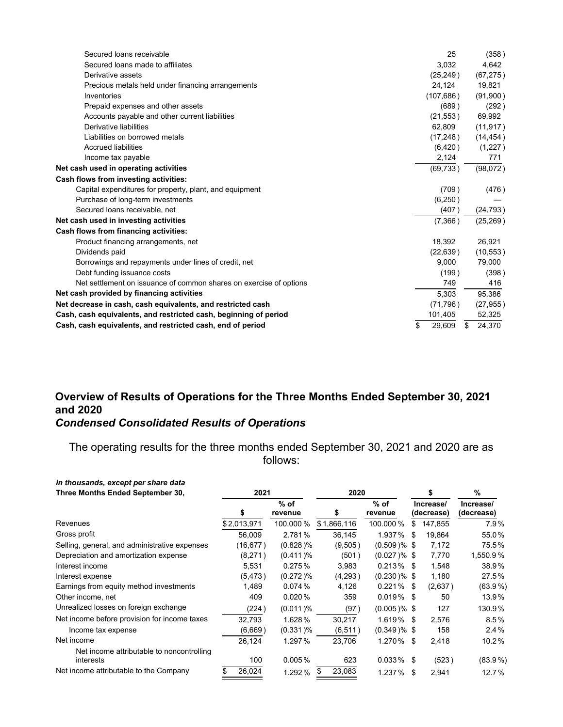| Secured loans receivable                                           | 25           | (358)        |
|--------------------------------------------------------------------|--------------|--------------|
| Secured loans made to affiliates                                   | 3,032        | 4,642        |
| Derivative assets                                                  | (25, 249)    | (67, 275)    |
| Precious metals held under financing arrangements                  | 24,124       | 19,821       |
| Inventories                                                        | (107, 686)   | (91,900)     |
| Prepaid expenses and other assets                                  | (689)        | (292)        |
| Accounts payable and other current liabilities                     | (21, 553)    | 69,992       |
| Derivative liabilities                                             | 62,809       | (11, 917)    |
| Liabilities on borrowed metals                                     | (17, 248)    | (14, 454)    |
| <b>Accrued liabilities</b>                                         | (6,420)      | (1,227)      |
| Income tax payable                                                 | 2,124        | 771          |
| Net cash used in operating activities                              | (69, 733)    | (98,072)     |
| Cash flows from investing activities:                              |              |              |
| Capital expenditures for property, plant, and equipment            | (709)        | (476)        |
| Purchase of long-term investments                                  | (6,250)      |              |
| Secured loans receivable, net                                      | (407)        | (24, 793)    |
| Net cash used in investing activities                              | (7,366)      | (25, 269)    |
| Cash flows from financing activities:                              |              |              |
| Product financing arrangements, net                                | 18,392       | 26,921       |
| Dividends paid                                                     | (22, 639)    | (10, 553)    |
| Borrowings and repayments under lines of credit, net               | 9,000        | 79,000       |
| Debt funding issuance costs                                        | (199)        | (398)        |
| Net settlement on issuance of common shares on exercise of options | 749          | 416          |
| Net cash provided by financing activities                          | 5.303        | 95,386       |
| Net decrease in cash, cash equivalents, and restricted cash        | (71,796)     | (27, 955)    |
| Cash, cash equivalents, and restricted cash, beginning of period   | 101,405      | 52,325       |
| Cash, cash equivalents, and restricted cash, end of period         | \$<br>29,609 | \$<br>24,370 |

# **Overview of Results of Operations for the Three Months Ended September 30, 2021 and 2020** *Condensed Consolidated Results of Operations*

The operating results for the three months ended September 30, 2021 and 2020 are as follows:

| in thousands, except per share data                    |             |             |             |                |           |            |            |
|--------------------------------------------------------|-------------|-------------|-------------|----------------|-----------|------------|------------|
| Three Months Ended September 30,                       | 2021        |             | 2020        |                |           | S          | %          |
|                                                        |             | $%$ of      |             | $%$ of         | Increase/ |            | Increase/  |
|                                                        | 5           | revenue     | \$          | revenue        |           | (decrease) | (decrease) |
| Revenues                                               | \$2,013,971 | 100.000 %   | \$1,866,116 | 100.000 %      | \$.       | 147,855    | 7.9%       |
| Gross profit                                           | 56,009      | 2.781%      | 36,145      | 1.937%         | \$        | 19,864     | 55.0%      |
| Selling, general, and administrative expenses          | (16, 677)   | $(0.828)\%$ | (9,505)     | $(0.509)\%$ \$ |           | 7,172      | 75.5%      |
| Depreciation and amortization expense                  | (8,271)     | $(0.411)$ % | (501)       | $(0.027)$ %\$  |           | 7,770      | 1,550.9%   |
| Interest income                                        | 5,531       | 0.275%      | 3,983       | 0.213%         | - \$      | 1,548      | 38.9%      |
| Interest expense                                       | (5, 473)    | $(0.272)\%$ | (4,293)     | $(0.230)\%$ \$ |           | 1,180      | 27.5%      |
| Earnings from equity method investments                | 1,489       | 0.074%      | 4,126       | 0.221%         | \$        | (2,637)    | $(63.9\%)$ |
| Other income, net                                      | 409         | 0.020%      | 359         | $0.019\%$      | - \$      | 50         | 13.9%      |
| Unrealized losses on foreign exchange                  | (224)       | $(0.011)$ % | (97)        | $(0.005)\%$ \$ |           | 127        | 130.9%     |
| Net income before provision for income taxes           | 32,793      | 1.628%      | 30,217      | 1.619%         | \$        | 2,576      | 8.5%       |
| Income tax expense                                     | (6,669)     | $(0.331)\%$ | (6, 511)    | $(0.349)\%$ \$ |           | 158        | $2.4\%$    |
| Net income                                             | 26,124      | 1.297%      | 23,706      | 1.270%         | \$        | 2,418      | 10.2%      |
| Net income attributable to noncontrolling<br>interests | 100         | 0.005%      | 623         | $0.033\%$      | - \$      | (523)      | $(83.9\%)$ |
| Net income attributable to the Company                 | 26,024      | 1.292%      | 23,083<br>S | 1.237%         | S         | 2,941      | 12.7%      |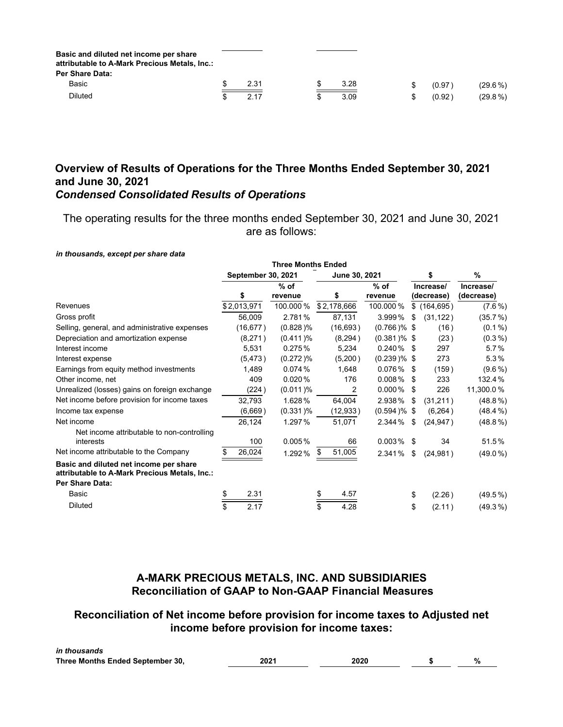| Basic and diluted net income per share<br>attributable to A-Mark Precious Metals, Inc.:<br><b>Per Share Data:</b> |      |      |        |            |
|-------------------------------------------------------------------------------------------------------------------|------|------|--------|------------|
| Basic                                                                                                             | 2.31 | 3.28 | (0.97) | $(29.6\%)$ |
| Diluted                                                                                                           | 2.17 | 3.09 | (0.92) | $(29.8\%)$ |

#### **Overview of Results of Operations for the Three Months Ended September 30, 2021 and June 30, 2021** *Condensed Consolidated Results of Operations*

The operating results for the three months ended September 30, 2021 and June 30, 2021 are as follows:

**Three Months Ended**

*in thousands, except per share data*

|                                                                                                                   | <b>September 30, 2021</b> |                   | S            |                   | %   |                         |                         |
|-------------------------------------------------------------------------------------------------------------------|---------------------------|-------------------|--------------|-------------------|-----|-------------------------|-------------------------|
|                                                                                                                   | 5                         | $%$ of<br>revenue | \$           | $%$ of<br>revenue |     | Increase/<br>(decrease) | Increase/<br>(decrease) |
| Revenues                                                                                                          | \$2,013,971               | 100.000 %         | \$2,178,666  | 100.000 %         |     | \$(164, 695)            | $(7.6\%)$               |
| Gross profit                                                                                                      | 56,009                    | 2.781%            | 87,131       | 3.999%            | \$  | (31, 122)               | (35.7%)                 |
| Selling, general, and administrative expenses                                                                     | (16, 677)                 | $(0.828)\%$       | (16, 693)    | $(0.766)\%$ \$    |     | (16)                    | $(0.1\%)$               |
| Depreciation and amortization expense                                                                             | (8,271)                   | $(0.411)$ %       | (8,294)      | $(0.381)\%$ \$    |     | (23)                    | $(0.3\%)$               |
| Interest income                                                                                                   | 5,531                     | 0.275%            | 5,234        | $0.240\%$ \$      |     | 297                     | $5.7\%$                 |
| Interest expense                                                                                                  | (5, 473)                  | $(0.272)\%$       | (5,200)      | $(0.239)\%$ \$    |     | 273                     | $5.3\%$                 |
| Earnings from equity method investments                                                                           | 1,489                     | 0.074%            | 1,648        | $0.076\,\%$       | -\$ | (159)                   | $(9.6\%)$               |
| Other income, net                                                                                                 | 409                       | 0.020%            | 176          | $0.008\%$         | S   | 233                     | 132.4%                  |
| Unrealized (losses) gains on foreign exchange                                                                     | (224)                     | $(0.011)$ %       | 2            | $0.000\%$         | \$  | 226                     | 11,300.0%               |
| Net income before provision for income taxes                                                                      | 32,793                    | 1.628%            | 64,004       | 2.938%            | \$  | (31,211)                | $(48.8\%)$              |
| Income tax expense                                                                                                | (6,669)                   | $(0.331)\%$       | (12, 933)    | $(0.594)\%$ \$    |     | (6, 264)                | $(48.4\%)$              |
| Net income                                                                                                        | 26,124                    | 1.297%            | 51,071       | 2.344 %           | \$  | (24, 947)               | $(48.8\%)$              |
| Net income attributable to non-controlling<br>interests                                                           | 100                       | 0.005%            | 66           | $0.003\%$         | -\$ | 34                      | 51.5%                   |
| Net income attributable to the Company                                                                            | 26,024                    | 1.292%            | 51,005<br>\$ | 2.341%            | \$  | (24, 981)               | $(49.0\%)$              |
| Basic and diluted net income per share<br>attributable to A-Mark Precious Metals, Inc.:<br><b>Per Share Data:</b> |                           |                   |              |                   |     |                         |                         |
| Basic                                                                                                             | 2.31<br>\$                |                   | 4.57         |                   | \$  | (2.26)                  | $(49.5\%)$              |
| Diluted                                                                                                           | \$<br>2.17                |                   | \$<br>4.28   |                   | \$  | (2.11)                  | $(49.3\%)$              |

# **A-MARK PRECIOUS METALS, INC. AND SUBSIDIARIES Reconciliation of GAAP to Non-GAAP Financial Measures**

# **Reconciliation of Net income before provision for income taxes to Adjusted net income before provision for income taxes:**

| in thousands                     |      |      |   |
|----------------------------------|------|------|---|
| Three Months Ended September 30, | 2021 | 2020 | % |